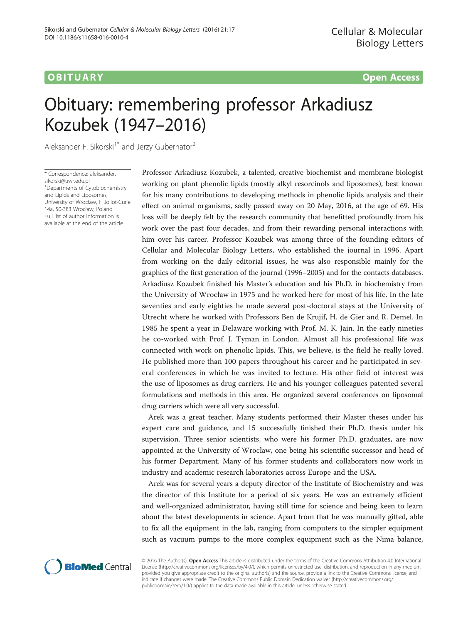# **OBITUARY** CONTROLLER CONTROLLER CONTROLLER CONTROLLER CONTROLLER CONTROLLER CONTROLLER CONTROLLER CONTROLLER CONTROLLER CONTROLLER CONTROLLER CONTROLLER CONTROLLER CONTROLLER CONTROLLER CONTROLLER CONTROLLER CONTROLLER CO

# Obituary: remembering professor Arkadiusz Kozubek (1947–2016)

Aleksander F. Sikorski<sup>1\*</sup> and Jerzy Gubernator<sup>2</sup>

\* Correspondence: [aleksander.](mailto:aleksander.sikorski@uwr.edu.pl) [sikorski@uwr.edu.pl](mailto:aleksander.sikorski@uwr.edu.pl) 1 Departments of Cytobiochemistry and Lipids and Liposomes, University of Wrocław, F. Joliot-Curie 14a, 50-383 Wrocław, Poland Full list of author information is available at the end of the article

Professor Arkadiusz Kozubek, a talented, creative biochemist and membrane biologist working on plant phenolic lipids (mostly alkyl resorcinols and liposomes), best known for his many contributions to developing methods in phenolic lipids analysis and their effect on animal organisms, sadly passed away on 20 May, 2016, at the age of 69. His loss will be deeply felt by the research community that benefitted profoundly from his work over the past four decades, and from their rewarding personal interactions with him over his career. Professor Kozubek was among three of the founding editors of Cellular and Molecular Biology Letters, who established the journal in 1996. Apart from working on the daily editorial issues, he was also responsible mainly for the graphics of the first generation of the journal (1996–2005) and for the contacts databases. Arkadiusz Kozubek finished his Master's education and his Ph.D. in biochemistry from the University of Wrocław in 1975 and he worked here for most of his life. In the late seventies and early eighties he made several post-doctoral stays at the University of Utrecht where he worked with Professors Ben de Krujif, H. de Gier and R. Demel. In 1985 he spent a year in Delaware working with Prof. M. K. Jain. In the early nineties he co-worked with Prof. J. Tyman in London. Almost all his professional life was connected with work on phenolic lipids. This, we believe, is the field he really loved. He published more than 100 papers throughout his career and he participated in several conferences in which he was invited to lecture. His other field of interest was the use of liposomes as drug carriers. He and his younger colleagues patented several formulations and methods in this area. He organized several conferences on liposomal drug carriers which were all very successful.

Arek was a great teacher. Many students performed their Master theses under his expert care and guidance, and 15 successfully finished their Ph.D. thesis under his supervision. Three senior scientists, who were his former Ph.D. graduates, are now appointed at the University of Wrocław, one being his scientific successor and head of his former Department. Many of his former students and collaborators now work in industry and academic research laboratories across Europe and the USA.

Arek was for several years a deputy director of the Institute of Biochemistry and was the director of this Institute for a period of six years. He was an extremely efficient and well-organized administrator, having still time for science and being keen to learn about the latest developments in science. Apart from that he was manually gifted, able to fix all the equipment in the lab, ranging from computers to the simpler equipment such as vacuum pumps to the more complex equipment such as the Nima balance,



© 2016 The Author(s). Open Access This article is distributed under the terms of the Creative Commons Attribution 4.0 International License ([http://creativecommons.org/licenses/by/4.0/\)](http://creativecommons.org/licenses/by/4.0/), which permits unrestricted use, distribution, and reproduction in any medium, provided you give appropriate credit to the original author(s) and the source, provide a link to the Creative Commons license, and indicate if changes were made. The Creative Commons Public Domain Dedication waiver ([http://creativecommons.org/](http://creativecommons.org/publicdomain/zero/1.0/) [publicdomain/zero/1.0/\)](http://creativecommons.org/publicdomain/zero/1.0/) applies to the data made available in this article, unless otherwise stated.